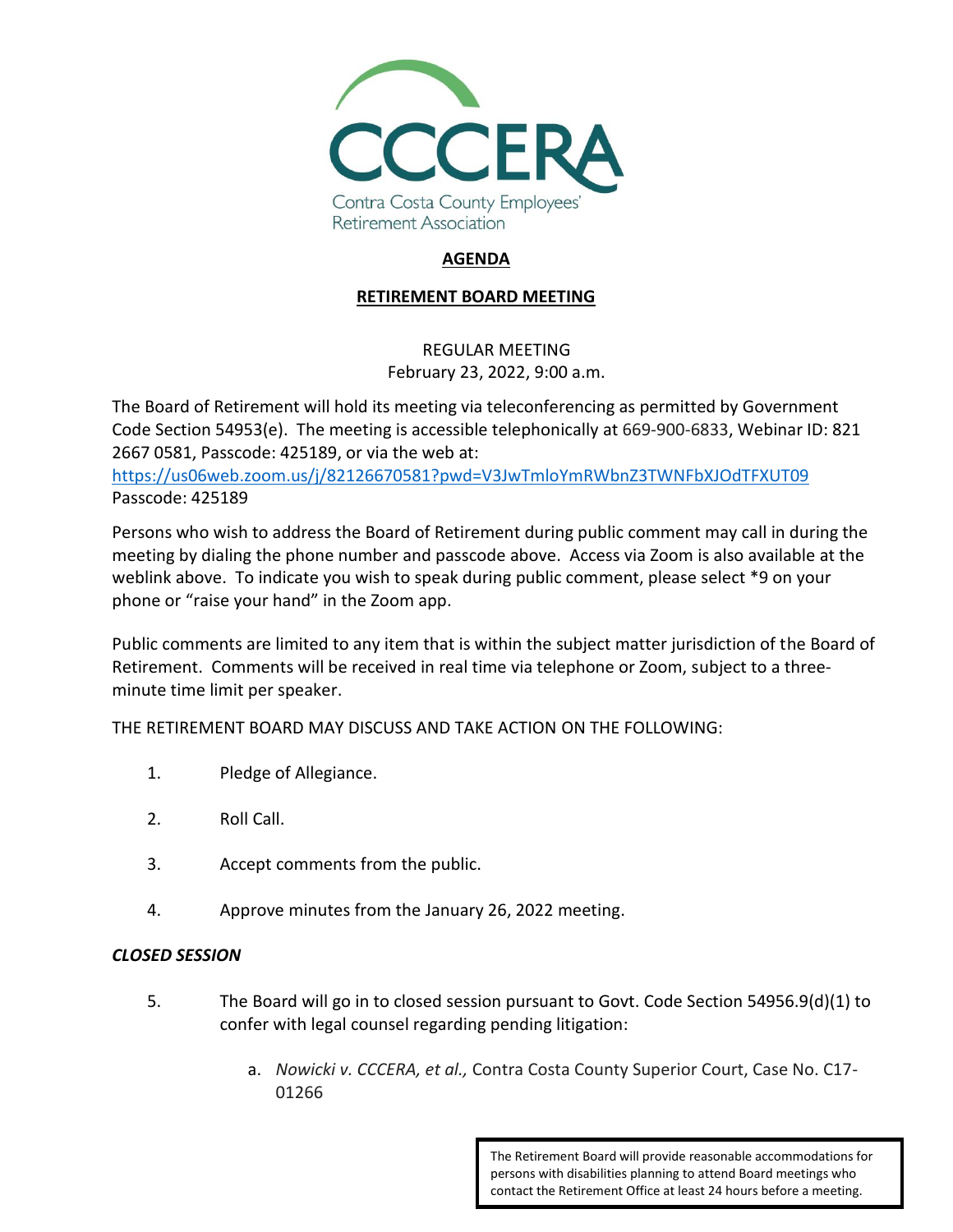

# **AGENDA**

### **RETIREMENT BOARD MEETING**

## REGULAR MEETING February 23, 2022, 9:00 a.m.

The Board of Retirement will hold its meeting via teleconferencing as permitted by Government Code Section 54953(e). The meeting is accessible telephonically at 669-900-6833, Webinar ID: 821 2667 0581, Passcode: 425189, or via the web at:

<https://us06web.zoom.us/j/82126670581?pwd=V3JwTmloYmRWbnZ3TWNFbXJOdTFXUT09> Passcode: 425189

Persons who wish to address the Board of Retirement during public comment may call in during the meeting by dialing the phone number and passcode above. Access via Zoom is also available at the weblink above. To indicate you wish to speak during public comment, please select \*9 on your phone or "raise your hand" in the Zoom app.

Public comments are limited to any item that is within the subject matter jurisdiction of the Board of Retirement. Comments will be received in real time via telephone or Zoom, subject to a threeminute time limit per speaker.

THE RETIREMENT BOARD MAY DISCUSS AND TAKE ACTION ON THE FOLLOWING:

- 1. Pledge of Allegiance.
- 2. Roll Call.
- 3. Accept comments from the public.
- 4. Approve minutes from the January 26, 2022 meeting.

#### *CLOSED SESSION*

- 5. The Board will go in to closed session pursuant to Govt. Code Section 54956.9(d)(1) to confer with legal counsel regarding pending litigation:
	- a. *Nowicki v. CCCERA, et al.,* Contra Costa County Superior Court, Case No. C17- 01266

The Retirement Board will provide reasonable accommodations for persons with disabilities planning to attend Board meetings who contact the Retirement Office at least 24 hours before a meeting.